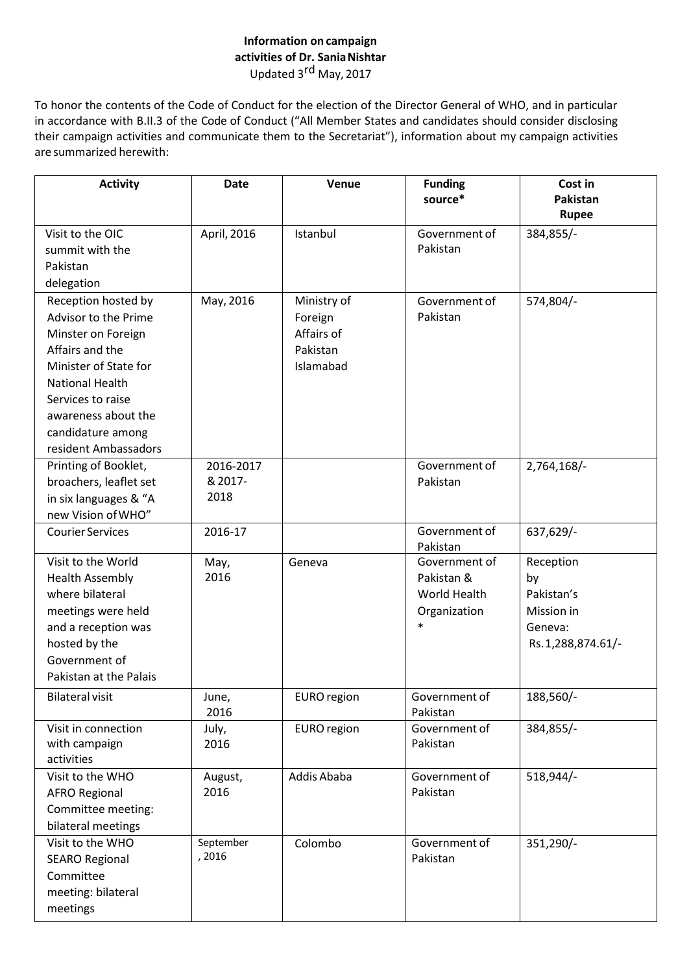## **Information on campaign activities of Dr. SaniaNishtar** Updated 3rd May, 2017

To honor the contents of the Code of Conduct for the election of the Director General of WHO, and in particular in accordance with B.II.3 of the Code of Conduct ("All Member States and candidates should consider disclosing their campaign activities and communicate them to the Secretariat"), information about my campaign activities are summarized herewith:

| <b>Activity</b>         | <b>Date</b>        | Venue              | <b>Funding</b><br>source* | Cost in<br>Pakistan |
|-------------------------|--------------------|--------------------|---------------------------|---------------------|
|                         |                    |                    |                           | Rupee               |
| Visit to the OIC        | April, 2016        | Istanbul           | Government of             | 384,855/-           |
| summit with the         |                    |                    | Pakistan                  |                     |
| Pakistan                |                    |                    |                           |                     |
| delegation              |                    |                    |                           |                     |
| Reception hosted by     | May, 2016          | Ministry of        | Government of             | 574,804/-           |
| Advisor to the Prime    |                    | Foreign            | Pakistan                  |                     |
| Minster on Foreign      |                    | Affairs of         |                           |                     |
| Affairs and the         |                    | Pakistan           |                           |                     |
| Minister of State for   |                    | Islamabad          |                           |                     |
| <b>National Health</b>  |                    |                    |                           |                     |
| Services to raise       |                    |                    |                           |                     |
| awareness about the     |                    |                    |                           |                     |
| candidature among       |                    |                    |                           |                     |
| resident Ambassadors    |                    |                    |                           |                     |
| Printing of Booklet,    | 2016-2017          |                    | Government of             | 2,764,168/-         |
| broachers, leaflet set  | & 2017-            |                    | Pakistan                  |                     |
| in six languages & "A   | 2018               |                    |                           |                     |
| new Vision of WHO"      |                    |                    |                           |                     |
| <b>Courier Services</b> | 2016-17            |                    | Government of             | 637,629/-           |
|                         |                    |                    | Pakistan                  |                     |
| Visit to the World      | May,               | Geneva             | Government of             | Reception           |
| <b>Health Assembly</b>  | 2016               |                    | Pakistan &                | by                  |
| where bilateral         |                    |                    | World Health              | Pakistan's          |
| meetings were held      |                    |                    | Organization              | Mission in          |
| and a reception was     |                    |                    | $\ast$                    | Geneva:             |
| hosted by the           |                    |                    |                           | Rs.1,288,874.61/-   |
| Government of           |                    |                    |                           |                     |
| Pakistan at the Palais  |                    |                    |                           |                     |
| <b>Bilateral visit</b>  | June,              | EURO region        | Government of             | 188,560/-           |
|                         | 2016               |                    | Pakistan                  |                     |
| Visit in connection     | July,              | <b>EURO</b> region | Government of             | 384,855/-           |
| with campaign           | 2016               |                    | Pakistan                  |                     |
| activities              |                    |                    |                           |                     |
| Visit to the WHO        | August,            | Addis Ababa        | Government of             | 518,944/-           |
| <b>AFRO Regional</b>    | 2016               |                    | Pakistan                  |                     |
| Committee meeting:      |                    |                    |                           |                     |
| bilateral meetings      |                    |                    |                           |                     |
| Visit to the WHO        | September<br>,2016 | Colombo            | Government of             | 351,290/-           |
| <b>SEARO Regional</b>   |                    |                    | Pakistan                  |                     |
| Committee               |                    |                    |                           |                     |
| meeting: bilateral      |                    |                    |                           |                     |
| meetings                |                    |                    |                           |                     |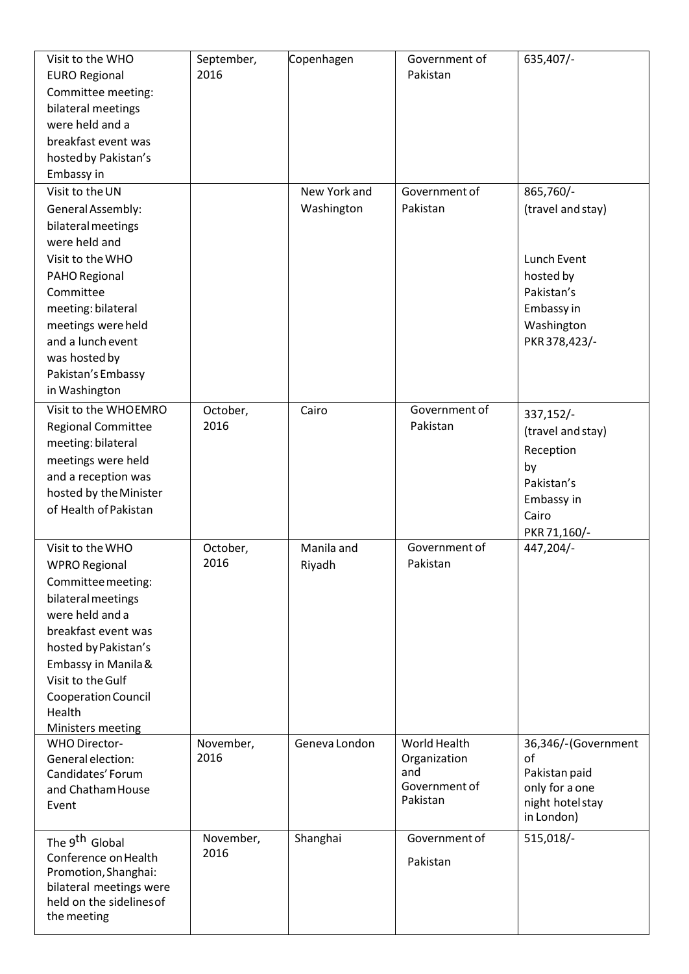| Visit to the WHO<br><b>EURO Regional</b><br>Committee meeting:<br>bilateral meetings<br>were held and a<br>breakfast event was<br>hosted by Pakistan's<br>Embassy in                                                                                                           | September,<br>2016 | Copenhagen                 | Government of<br>Pakistan                                        | 635,407/-                                                                                                             |
|--------------------------------------------------------------------------------------------------------------------------------------------------------------------------------------------------------------------------------------------------------------------------------|--------------------|----------------------------|------------------------------------------------------------------|-----------------------------------------------------------------------------------------------------------------------|
| Visit to the UN<br>General Assembly:<br>bilateral meetings<br>were held and<br>Visit to the WHO<br>PAHO Regional<br>Committee<br>meeting: bilateral<br>meetings were held<br>and a lunch event<br>was hosted by<br>Pakistan's Embassy<br>in Washington<br>Visit to the WHOEMRO |                    | New York and<br>Washington | Government of<br>Pakistan<br>Government of                       | 865,760/-<br>(travel and stay)<br>Lunch Event<br>hosted by<br>Pakistan's<br>Embassy in<br>Washington<br>PKR 378,423/- |
| <b>Regional Committee</b><br>meeting: bilateral<br>meetings were held<br>and a reception was<br>hosted by the Minister<br>of Health of Pakistan                                                                                                                                | October,<br>2016   | Cairo                      | Pakistan                                                         | 337,152/-<br>(travel and stay)<br>Reception<br>by<br>Pakistan's<br>Embassy in<br>Cairo<br>PKR 71,160/-                |
| Visit to the WHO<br><b>WPRO Regional</b><br>Committee meeting:<br>bilateral meetings<br>were held and a<br>breakfast event was<br>hosted by Pakistan's<br>Embassy in Manila &<br>Visit to the Gulf<br>Cooperation Council<br>Health<br>Ministers meeting                       | October,<br>2016   | Manila and<br>Riyadh       | Government of<br>Pakistan                                        | 447,204/-                                                                                                             |
| <b>WHO Director-</b><br>General election:<br>Candidates' Forum<br>and Chatham House<br>Event                                                                                                                                                                                   | November,<br>2016  | Geneva London              | World Health<br>Organization<br>and<br>Government of<br>Pakistan | 36,346/-(Government<br>of<br>Pakistan paid<br>only for a one<br>night hotel stay<br>in London)                        |
| The 9 <sup>th</sup> Global<br>Conference on Health<br>Promotion, Shanghai:<br>bilateral meetings were<br>held on the sidelines of<br>the meeting                                                                                                                               | November,<br>2016  | Shanghai                   | Government of<br>Pakistan                                        | 515,018/-                                                                                                             |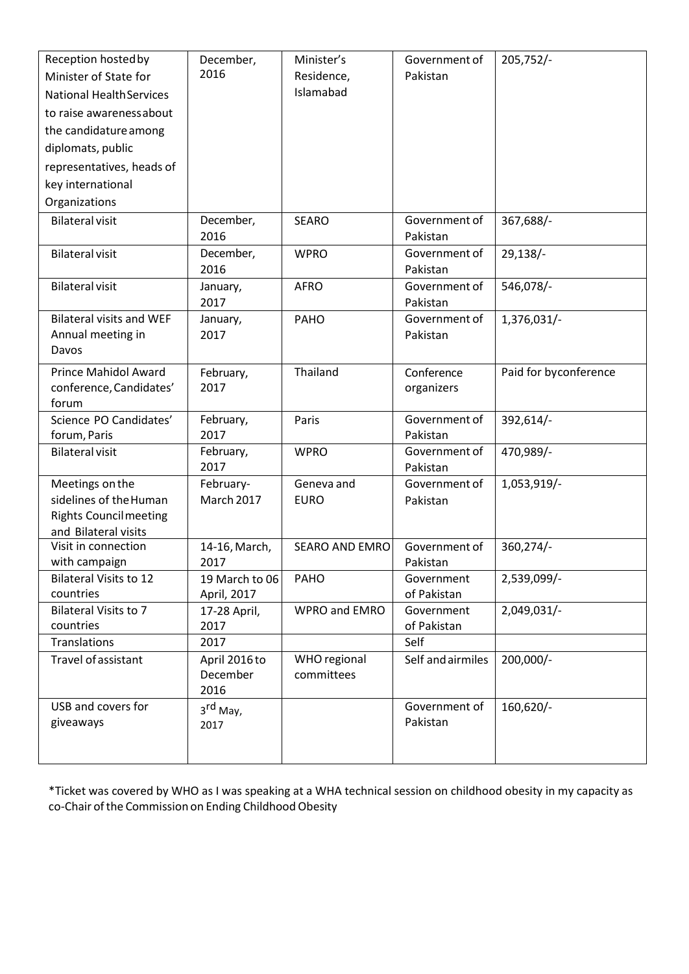| Reception hosted by                         | December,             | Minister's            | Government of             | $205,752/-$           |
|---------------------------------------------|-----------------------|-----------------------|---------------------------|-----------------------|
| Minister of State for                       | 2016                  | Residence,            | Pakistan                  |                       |
| <b>National Health Services</b>             |                       | Islamabad             |                           |                       |
| to raise awarenessabout                     |                       |                       |                           |                       |
| the candidature among                       |                       |                       |                           |                       |
| diplomats, public                           |                       |                       |                           |                       |
| representatives, heads of                   |                       |                       |                           |                       |
| key international                           |                       |                       |                           |                       |
| Organizations                               |                       |                       |                           |                       |
| <b>Bilateral visit</b>                      | December,             | <b>SEARO</b>          | Government of             | 367,688/-             |
|                                             | 2016                  |                       | Pakistan                  |                       |
| <b>Bilateral visit</b>                      | December,             | <b>WPRO</b>           | Government of             | $29,138/-$            |
|                                             | 2016                  |                       | Pakistan                  |                       |
| <b>Bilateral visit</b>                      | January,              | <b>AFRO</b>           | Government of             | 546,078/-             |
|                                             | 2017                  |                       | Pakistan                  |                       |
| <b>Bilateral visits and WEF</b>             | January,              | <b>PAHO</b>           | Government of             | 1,376,031/-           |
| Annual meeting in                           | 2017                  |                       | Pakistan                  |                       |
| Davos                                       |                       |                       |                           |                       |
| <b>Prince Mahidol Award</b>                 | February,             | Thailand              | Conference                | Paid for byconference |
| conference, Candidates'<br>forum            | 2017                  |                       | organizers                |                       |
| Science PO Candidates'                      | February,             | Paris                 | Government of             | 392,614/-             |
| forum, Paris                                | 2017                  |                       | Pakistan                  |                       |
| <b>Bilateral visit</b>                      | February,             | <b>WPRO</b>           | Government of             | 470,989/-             |
|                                             | 2017                  |                       | Pakistan                  |                       |
| Meetings on the                             | February-             | Geneva and            | Government of             | 1,053,919/-           |
| sidelines of the Human                      | <b>March 2017</b>     | <b>EURO</b>           | Pakistan                  |                       |
| <b>Rights Council meeting</b>               |                       |                       |                           |                       |
| and Bilateral visits<br>Visit in connection |                       | <b>SEARO AND EMRO</b> | Government of             | 360,274/-             |
| with campaign                               | 14-16, March,<br>2017 |                       | Pakistan                  |                       |
| <b>Bilateral Visits to 12</b>               | 19 March to 06        | PAHO                  | Government                | 2,539,099/-           |
| countries                                   | April, 2017           |                       | of Pakistan               |                       |
| <b>Bilateral Visits to 7</b>                | 17-28 April,          | WPRO and EMRO         | Government                | 2,049,031/-           |
| countries                                   | 2017                  |                       | of Pakistan               |                       |
| Translations                                | 2017                  |                       | Self                      |                       |
| Travel of assistant                         | April 2016 to         | WHO regional          | Self and airmiles         | 200,000/-             |
|                                             | December              | committees            |                           |                       |
| USB and covers for                          | 2016                  |                       |                           |                       |
| giveaways                                   | 3 <sup>rd</sup> May,  |                       | Government of<br>Pakistan | 160,620/-             |
|                                             | 2017                  |                       |                           |                       |
|                                             |                       |                       |                           |                       |
|                                             |                       |                       |                           |                       |

\*Ticket was covered by WHO as I was speaking at a WHA technical session on childhood obesity in my capacity as co-Chair of the Commission on Ending Childhood Obesity